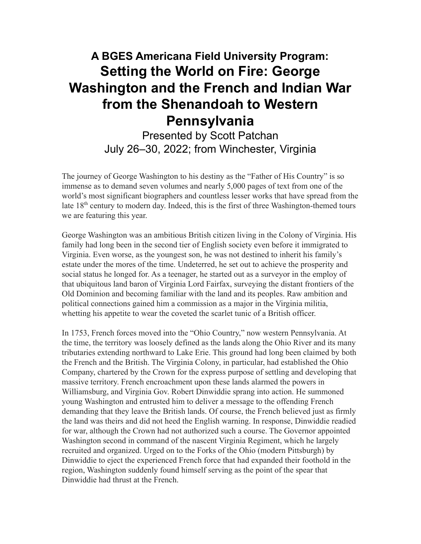# **A BGES Americana Field University Program: Setting the World on Fire: George Washington and the French and Indian War from the Shenandoah to Western Pennsylvania**

Presented by Scott Patchan July 26–30, 2022; from Winchester, Virginia

The journey of George Washington to his destiny as the "Father of His Country" is so immense as to demand seven volumes and nearly 5,000 pages of text from one of the world's most significant biographers and countless lesser works that have spread from the late  $18<sup>th</sup>$  century to modern day. Indeed, this is the first of three Washington-themed tours we are featuring this year.

George Washington was an ambitious British citizen living in the Colony of Virginia. His family had long been in the second tier of English society even before it immigrated to Virginia. Even worse, as the youngest son, he was not destined to inherit his family's estate under the mores of the time. Undeterred, he set out to achieve the prosperity and social status he longed for. As a teenager, he started out as a surveyor in the employ of that ubiquitous land baron of Virginia Lord Fairfax, surveying the distant frontiers of the Old Dominion and becoming familiar with the land and its peoples. Raw ambition and political connections gained him a commission as a major in the Virginia militia, whetting his appetite to wear the coveted the scarlet tunic of a British officer.

In 1753, French forces moved into the "Ohio Country," now western Pennsylvania. At the time, the territory was loosely defined as the lands along the Ohio River and its many tributaries extending northward to Lake Erie. This ground had long been claimed by both the French and the British. The Virginia Colony, in particular, had established the Ohio Company, chartered by the Crown for the express purpose of settling and developing that massive territory. French encroachment upon these lands alarmed the powers in Williamsburg, and Virginia Gov. Robert Dinwiddie sprang into action. He summoned young Washington and entrusted him to deliver a message to the offending French demanding that they leave the British lands. Of course, the French believed just as firmly the land was theirs and did not heed the English warning. In response, Dinwiddie readied for war, although the Crown had not authorized such a course. The Governor appointed Washington second in command of the nascent Virginia Regiment, which he largely recruited and organized. Urged on to the Forks of the Ohio (modern Pittsburgh) by Dinwiddie to eject the experienced French force that had expanded their foothold in the region, Washington suddenly found himself serving as the point of the spear that Dinwiddie had thrust at the French.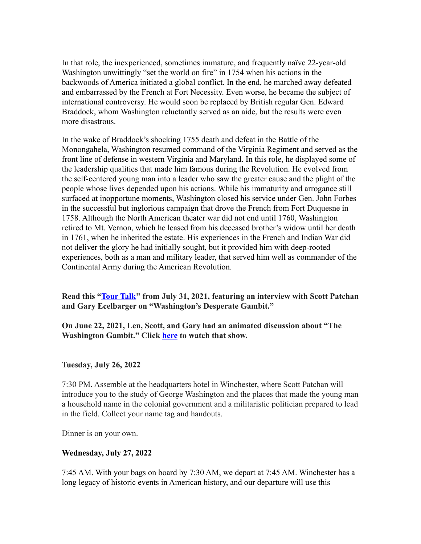In that role, the inexperienced, sometimes immature, and frequently naïve 22-year-old Washington unwittingly "set the world on fire" in 1754 when his actions in the backwoods of America initiated a global conflict. In the end, he marched away defeated and embarrassed by the French at Fort Necessity. Even worse, he became the subject of international controversy. He would soon be replaced by British regular Gen. Edward Braddock, whom Washington reluctantly served as an aide, but the results were even more disastrous.

In the wake of Braddock's shocking 1755 death and defeat in the Battle of the Monongahela, Washington resumed command of the Virginia Regiment and served as the front line of defense in western Virginia and Maryland. In this role, he displayed some of the leadership qualities that made him famous during the Revolution. He evolved from the self-centered young man into a leader who saw the greater cause and the plight of the people whose lives depended upon his actions. While his immaturity and arrogance still surfaced at inopportune moments, Washington closed his service under Gen. John Forbes in the successful but inglorious campaign that drove the French from Fort Duquesne in 1758. Although the North American theater war did not end until 1760, Washington retired to Mt. Vernon, which he leased from his deceased brother's widow until her death in 1761, when he inherited the estate. His experiences in the French and Indian War did not deliver the glory he had initially sought, but it provided him with deep-rooted experiences, both as a man and military leader, that served him well as commander of the Continental Army during the American Revolution.

**Read this ["Tour](https://blueandgrayeducation.org/2021/07/tour-talk-washingtons-desperate-gambit/) Talk" from July 31, 2021, featuring an interview with Scott Patchan and Gary Ecelbarger on "Washington's Desperate Gambit."**

**On June 22, 2021, Len, Scott, and Gary had an animated discussion about "The Washington Gambit." Click [here](https://www.youtube.com/watch?v=c_j8Bx_QsQg&t=600s) to watch that show.**

## **Tuesday, July 26, 2022**

7:30 PM. Assemble at the headquarters hotel in Winchester, where Scott Patchan will introduce you to the study of George Washington and the places that made the young man a household name in the colonial government and a militaristic politician prepared to lead in the field. Collect your name tag and handouts.

Dinner is on your own.

## **Wednesday, July 27, 2022**

7:45 AM. With your bags on board by 7:30 AM, we depart at 7:45 AM. Winchester has a long legacy of historic events in American history, and our departure will use this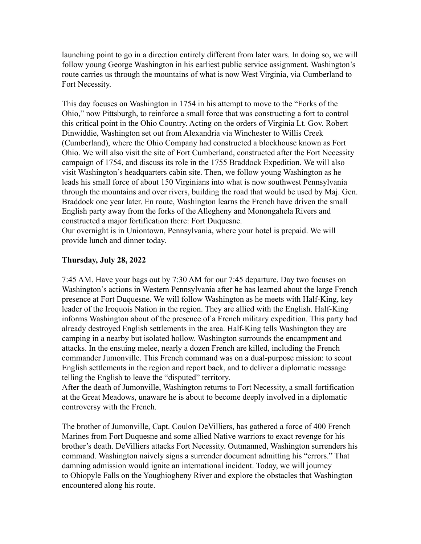launching point to go in a direction entirely different from later wars. In doing so, we will follow young George Washington in his earliest public service assignment. Washington's route carries us through the mountains of what is now West Virginia, via Cumberland to Fort Necessity.

This day focuses on Washington in 1754 in his attempt to move to the "Forks of the Ohio," now Pittsburgh, to reinforce a small force that was constructing a fort to control this critical point in the Ohio Country. Acting on the orders of Virginia Lt. Gov. Robert Dinwiddie, Washington set out from Alexandria via Winchester to Willis Creek (Cumberland), where the Ohio Company had constructed a blockhouse known as Fort Ohio. We will also visit the site of Fort Cumberland, constructed after the Fort Necessity campaign of 1754, and discuss its role in the 1755 Braddock Expedition. We will also visit Washington's headquarters cabin site. Then, we follow young Washington as he leads his small force of about 150 Virginians into what is now southwest Pennsylvania through the mountains and over rivers, building the road that would be used by Maj. Gen. Braddock one year later. En route, Washington learns the French have driven the small English party away from the forks of the Allegheny and Monongahela Rivers and constructed a major fortification there: Fort Duquesne.

Our overnight is in Uniontown, Pennsylvania, where your hotel is prepaid. We will provide lunch and dinner today.

## **Thursday, July 28, 2022**

7:45 AM. Have your bags out by 7:30 AM for our 7:45 departure. Day two focuses on Washington's actions in Western Pennsylvania after he has learned about the large French presence at Fort Duquesne. We will follow Washington as he meets with Half-King, key leader of the Iroquois Nation in the region. They are allied with the English. Half-King informs Washington about of the presence of a French military expedition. This party had already destroyed English settlements in the area. Half-King tells Washington they are camping in a nearby but isolated hollow. Washington surrounds the encampment and attacks. In the ensuing melee, nearly a dozen French are killed, including the French commander Jumonville. This French command was on a dual-purpose mission: to scout English settlements in the region and report back, and to deliver a diplomatic message telling the English to leave the "disputed" territory.

After the death of Jumonville, Washington returns to Fort Necessity, a small fortification at the Great Meadows, unaware he is about to become deeply involved in a diplomatic controversy with the French.

The brother of Jumonville, Capt. Coulon DeVilliers, has gathered a force of 400 French Marines from Fort Duquesne and some allied Native warriors to exact revenge for his brother's death. DeVilliers attacks Fort Necessity. Outmanned, Washington surrenders his command. Washington naively signs a surrender document admitting his "errors." That damning admission would ignite an international incident. Today, we will journey to Ohiopyle Falls on the Youghiogheny River and explore the obstacles that Washington encountered along his route.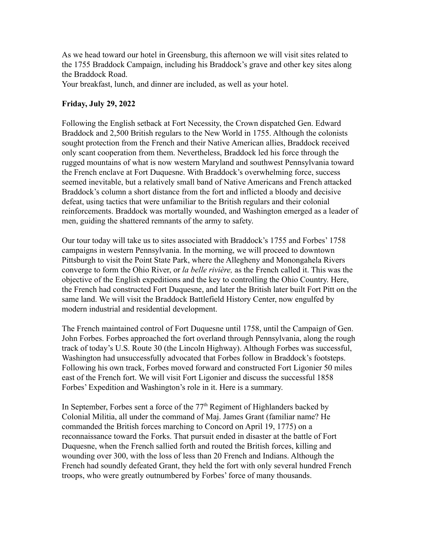As we head toward our hotel in Greensburg, this afternoon we will visit sites related to the 1755 Braddock Campaign, including his Braddock's grave and other key sites along the Braddock Road.

Your breakfast, lunch, and dinner are included, as well as your hotel.

## **Friday, July 29, 2022**

Following the English setback at Fort Necessity, the Crown dispatched Gen. Edward Braddock and 2,500 British regulars to the New World in 1755. Although the colonists sought protection from the French and their Native American allies, Braddock received only scant cooperation from them. Nevertheless, Braddock led his force through the rugged mountains of what is now western Maryland and southwest Pennsylvania toward the French enclave at Fort Duquesne. With Braddock's overwhelming force, success seemed inevitable, but a relatively small band of Native Americans and French attacked Braddock's column a short distance from the fort and inflicted a bloody and decisive defeat, using tactics that were unfamiliar to the British regulars and their colonial reinforcements. Braddock was mortally wounded, and Washington emerged as a leader of men, guiding the shattered remnants of the army to safety.

Our tour today will take us to sites associated with Braddock's 1755 and Forbes' 1758 campaigns in western Pennsylvania. In the morning, we will proceed to downtown Pittsburgh to visit the Point State Park, where the Allegheny and Monongahela Rivers converge to form the Ohio River, or *la belle rivière,* as the French called it. This was the objective of the English expeditions and the key to controlling the Ohio Country. Here, the French had constructed Fort Duquesne, and later the British later built Fort Pitt on the same land. We will visit the Braddock Battlefield History Center, now engulfed by modern industrial and residential development.

The French maintained control of Fort Duquesne until 1758, until the Campaign of Gen. John Forbes. Forbes approached the fort overland through Pennsylvania, along the rough track of today's U.S. Route 30 (the Lincoln Highway). Although Forbes was successful, Washington had unsuccessfully advocated that Forbes follow in Braddock's footsteps. Following his own track, Forbes moved forward and constructed Fort Ligonier 50 miles east of the French fort. We will visit Fort Ligonier and discuss the successful 1858 Forbes' Expedition and Washington's role in it. Here is a summary.

In September, Forbes sent a force of the  $77<sup>th</sup>$  Regiment of Highlanders backed by Colonial Militia, all under the command of Maj. James Grant (familiar name? He commanded the British forces marching to Concord on April 19, 1775) on a reconnaissance toward the Forks. That pursuit ended in disaster at the battle of Fort Duquesne, when the French sallied forth and routed the British forces, killing and wounding over 300, with the loss of less than 20 French and Indians. Although the French had soundly defeated Grant, they held the fort with only several hundred French troops, who were greatly outnumbered by Forbes' force of many thousands.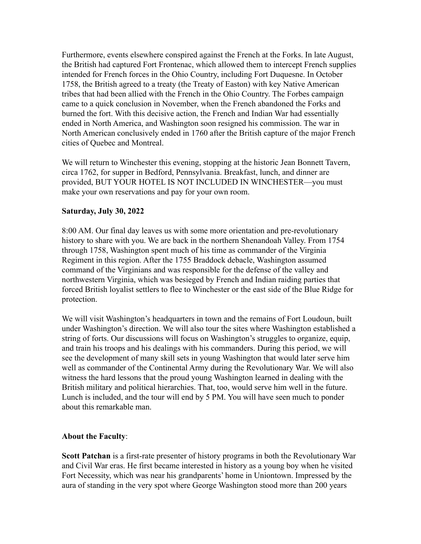Furthermore, events elsewhere conspired against the French at the Forks. In late August, the British had captured Fort Frontenac, which allowed them to intercept French supplies intended for French forces in the Ohio Country, including Fort Duquesne. In October 1758, the British agreed to a treaty (the Treaty of Easton) with key Native American tribes that had been allied with the French in the Ohio Country. The Forbes campaign came to a quick conclusion in November, when the French abandoned the Forks and burned the fort. With this decisive action, the French and Indian War had essentially ended in North America, and Washington soon resigned his commission. The war in North American conclusively ended in 1760 after the British capture of the major French cities of Quebec and Montreal.

We will return to Winchester this evening, stopping at the historic Jean Bonnett Tavern, circa 1762, for supper in Bedford, Pennsylvania. Breakfast, lunch, and dinner are provided, BUT YOUR HOTEL IS NOT INCLUDED IN WINCHESTER—you must make your own reservations and pay for your own room.

## **Saturday, July 30, 2022**

8:00 AM. Our final day leaves us with some more orientation and pre-revolutionary history to share with you. We are back in the northern Shenandoah Valley. From 1754 through 1758, Washington spent much of his time as commander of the Virginia Regiment in this region. After the 1755 Braddock debacle, Washington assumed command of the Virginians and was responsible for the defense of the valley and northwestern Virginia, which was besieged by French and Indian raiding parties that forced British loyalist settlers to flee to Winchester or the east side of the Blue Ridge for protection.

We will visit Washington's headquarters in town and the remains of Fort Loudoun, built under Washington's direction. We will also tour the sites where Washington established a string of forts. Our discussions will focus on Washington's struggles to organize, equip, and train his troops and his dealings with his commanders. During this period, we will see the development of many skill sets in young Washington that would later serve him well as commander of the Continental Army during the Revolutionary War. We will also witness the hard lessons that the proud young Washington learned in dealing with the British military and political hierarchies. That, too, would serve him well in the future. Lunch is included, and the tour will end by 5 PM. You will have seen much to ponder about this remarkable man.

#### **About the Faculty**:

**Scott Patchan** is a first-rate presenter of history programs in both the Revolutionary War and Civil War eras. He first became interested in history as a young boy when he visited Fort Necessity, which was near his grandparents' home in Uniontown. Impressed by the aura of standing in the very spot where George Washington stood more than 200 years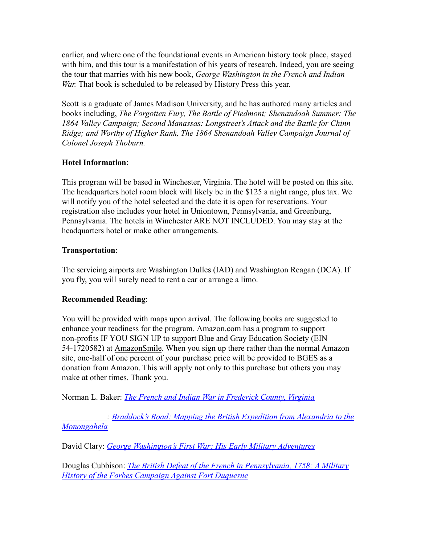earlier, and where one of the foundational events in American history took place, stayed with him, and this tour is a manifestation of his years of research. Indeed, you are seeing the tour that marries with his new book, *George Washington in the French and Indian War.* That book is scheduled to be released by History Press this year.

Scott is a graduate of James Madison University, and he has authored many articles and books including, *The Forgotten Fury, The Battle of Piedmont; Shenandoah Summer: The 1864 Valley Campaign; Second Manassas: Longstreet's Attack and the Battle for Chinn Ridge; and Worthy of Higher Rank, The 1864 Shenandoah Valley Campaign Journal of Colonel Joseph Thoburn.*

## **Hotel Information**:

This program will be based in Winchester, Virginia. The hotel will be posted on this site. The headquarters hotel room block will likely be in the \$125 a night range, plus tax. We will notify you of the hotel selected and the date it is open for reservations. Your registration also includes your hotel in Uniontown, Pennsylvania, and Greenburg, Pennsylvania. The hotels in Winchester ARE NOT INCLUDED. You may stay at the headquarters hotel or make other arrangements.

## **Transportation**:

The servicing airports are Washington Dulles (IAD) and Washington Reagan (DCA). If you fly, you will surely need to rent a car or arrange a limo.

## **Recommended Reading**:

You will be provided with maps upon arrival. The following books are suggested to enhance your readiness for the program. Amazon.com has a program to support non-profits IF YOU SIGN UP to support Blue and Gray Education Society (EIN 54-1720582) at [AmazonSmile](https://smile.amazon.com). When you sign up there rather than the normal Amazon site, one-half of one percent of your purchase price will be provided to BGES as a donation from Amazon. This will apply not only to this purchase but others you may make at other times. Thank you.

Norman L. Baker: *[The French and Indian War in Frederick](https://smile.amazon.com/French-Indian-War-Frederick-Virginia/dp/1537555790/ref=sr_1_1?crid=1383YSM67E711&keywords=The+French+and+Indian+War+in+Frederick+County%2C+Virginia+baker&qid=1643034841&sprefix=the+french+and+indian+war+in+frederick+county%2C+virginia+baker%2Caps%2C35&sr=8-1) County, Virginia*

*\_\_\_\_\_\_\_\_\_\_\_: [Braddock's Road: Mapping the British](https://smile.amazon.com/Braddocks-Road-Expedition-Alexandria-Monongahela/dp/162619114X/ref=sr_1_1?crid=S3EHL6INOTUM&keywords=Braddock%27s+road+mapping+the+British+expedition+baker&qid=1643034872&sprefix=braddock%27s+road+mapping+the+british+expedition+baker%2Caps%2C38&sr=8-1) Expedition from Alexandria to the [Monongahela](https://smile.amazon.com/Braddocks-Road-Expedition-Alexandria-Monongahela/dp/162619114X/ref=sr_1_1?crid=S3EHL6INOTUM&keywords=Braddock%27s+road+mapping+the+British+expedition+baker&qid=1643034872&sprefix=braddock%27s+road+mapping+the+british+expedition+baker%2Caps%2C38&sr=8-1)*

David Clary: *[George Washington's First War: His Early](https://smile.amazon.com/George-Washingtons-First-War-Adventures/dp/1439181101/ref=sr_1_3?crid=3RZ8IYOVUTG08&keywords=George+Washington%E2%80%99s+First+War%3A+His+Early+Military+Adventures&qid=1643034911&sprefix=george+washington+s+first+war+his+early+military+adventures+%2Caps%2C39&sr=8-3) Military Adventures*

Douglas Cubbison: *The British Defeat of the French [in Pennsylvania, 1758: A Military](https://smile.amazon.com/s?k=The+British+Defeat+of+the+French+in+Pennsylvania%2C+1758%3A+A+Military+History+of+the+Forbes+Campaign+Against+Fort+Duquesne&crid=15BB73DZEXSN7&sprefix=the+british+defeat+of+the+french+in+pennsylvania%2C+1758+a+military+history+of+the+forbes+campaign+against+fort+duquesne%2Caps%2C43&ref=nb_sb_noss) [History of the Forbes Campaign Against Fort Duquesne](https://smile.amazon.com/s?k=The+British+Defeat+of+the+French+in+Pennsylvania%2C+1758%3A+A+Military+History+of+the+Forbes+Campaign+Against+Fort+Duquesne&crid=15BB73DZEXSN7&sprefix=the+british+defeat+of+the+french+in+pennsylvania%2C+1758+a+military+history+of+the+forbes+campaign+against+fort+duquesne%2Caps%2C43&ref=nb_sb_noss)*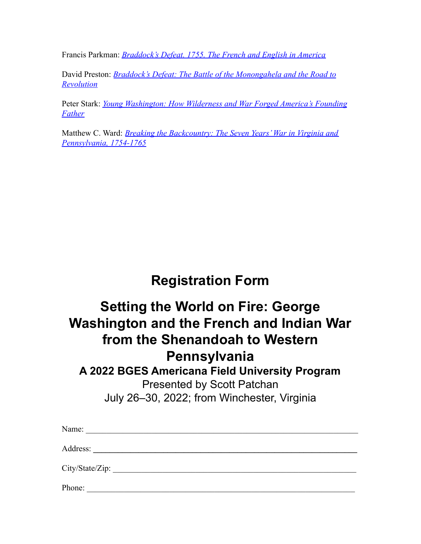Francis Parkman: *[Braddock's Defeat. 1755. The French and English in America](https://smile.amazon.com/s?k=Braddock%E2%80%99s+Defeat%2C+1755+The+French+and+English+in+America&crid=JUQP5KTKS4O8&sprefix=braddock+s+defeat%2C+1755+the+french+and+english+in+america%2Caps%2C35&ref=nb_sb_noss)*

David Preston: *[Braddock's Defeat: The Battle of the](https://smile.amazon.com/Braddocks-Defeat-Monongahela-Revolution-American/dp/0190658517/ref=tmm_pap_swatch_0?_encoding=UTF8&qid=1643035007&sr=8-2) Monongahela and the Road to [Revolution](https://smile.amazon.com/Braddocks-Defeat-Monongahela-Revolution-American/dp/0190658517/ref=tmm_pap_swatch_0?_encoding=UTF8&qid=1643035007&sr=8-2)*

Peter Stark: *[Young Washington: How Wilderness and](https://smile.amazon.com/s?k=Young+Washington+stark&crid=1NDI6YF8H71EH&sprefix=young+washington+stark%2Caps%2C40&ref=nb_sb_noss_1) War Forged America's Founding [Father](https://smile.amazon.com/s?k=Young+Washington+stark&crid=1NDI6YF8H71EH&sprefix=young+washington+stark%2Caps%2C40&ref=nb_sb_noss_1)*

Matthew C. Ward: *[Breaking the Backcountry: The Seven](https://smile.amazon.com/s?k=Breaking+the+Backcountry%3A+The+Seven+Years+War+in+Virginia+and+Pennsylvania%2C+1754-1763&crid=JCGH1B242J5O&sprefix=breaking+the+backcountry+the+seven+years+war+in+virginia+and+pennsylvania%2C+1754-1763%2Caps%2C87&ref=nb_sb_noss) Years' War in Virginia and [Pennsylvania, 1754-1765](https://smile.amazon.com/s?k=Breaking+the+Backcountry%3A+The+Seven+Years+War+in+Virginia+and+Pennsylvania%2C+1754-1763&crid=JCGH1B242J5O&sprefix=breaking+the+backcountry+the+seven+years+war+in+virginia+and+pennsylvania%2C+1754-1763%2Caps%2C87&ref=nb_sb_noss)*

# **Registration Form**

# **Setting the World on Fire: George Washington and the French and Indian War from the Shenandoah to Western Pennsylvania**

# **A 2022 BGES Americana Field University Program**

Presented by Scott Patchan July 26–30, 2022; from Winchester, Virginia

| Name:           |  |
|-----------------|--|
| Address:        |  |
| City/State/Zip: |  |
| Phone:          |  |